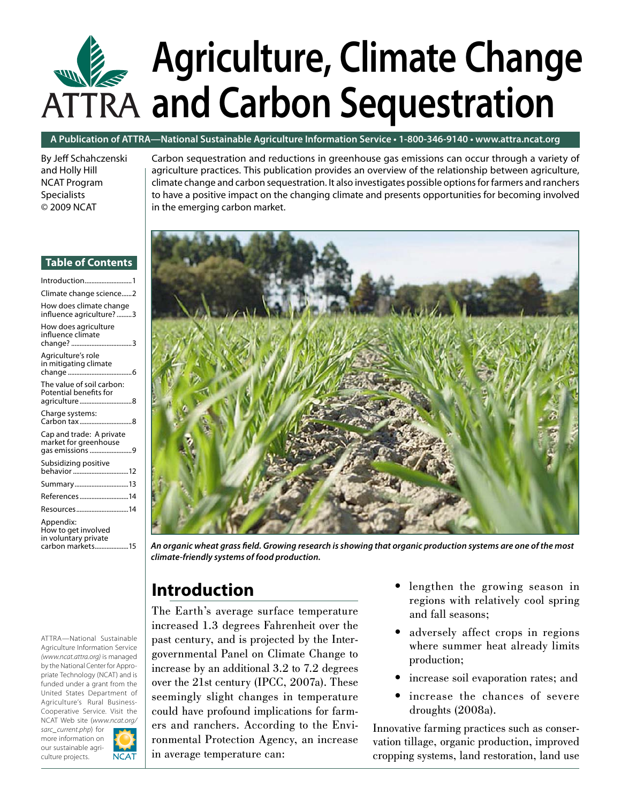# **Agriculture, Climate Change and Carbon Sequestration**

#### **A Publication of ATTRA—National Sustainable Agriculture Information Service • 1-800-346-9140 [• www.attra.ncat.org](www.ncat.org)**

By Jeff Schahczenski and Holly Hill NCAT Program **Specialists** © 2009 NCAT

Carbon sequestration and reductions in greenhouse gas emissions can occur through a variety of agriculture practices. This publication provides an overview of the relationship between agriculture, climate change and carbon sequestration. It also investigates possible options for farmers and ranchers to have a positive impact on the changing climate and presents opportunities for becoming involved in the emerging carbon market.



*An organic wheat grass fi eld. Growing research is showing that organic production systems are one of the most climate-friendly systems of food production.* 

# **Introduction**

The Earth's average surface temperature increased 1.3 degrees Fahrenheit over the past century, and is projected by the Intergovernmental Panel on Climate Change to increase by an additional 3.2 to 7.2 degrees over the 21st century (IPCC, 2007a). These seemingly slight changes in temperature could have profound implications for farmers and ranchers. According to the Environmental Protection Agency, an increase in average temperature can:

- lengthen the growing season in regions with relatively cool spring and fall seasons;
- adversely affect crops in regions where summer heat already limits production; •
- increase soil evaporation rates; and •
- increase the chances of severe droughts (2008a). •

Innovative farming practices such as conservation tillage, organic production, improved cropping systems, land restoration, land use

#### **Table of Contents**

| Introduction1                                                                |  |
|------------------------------------------------------------------------------|--|
| Climate change science2                                                      |  |
| How does climate change<br>influence agriculture? 3                          |  |
| How does agriculture<br>influence climate                                    |  |
| Agriculture's role<br>in mitigating climate                                  |  |
| The value of soil carbon:<br>Potential benefits for<br>agriculture8          |  |
| Charge systems:                                                              |  |
| Cap and trade: A private<br>market for greenhouse<br>gas emissions 9         |  |
| Subsidizing positive<br>behavior 12                                          |  |
| Summary13                                                                    |  |
| References14                                                                 |  |
| Resources14                                                                  |  |
| Appendix:<br>How to get involved<br>in voluntary private<br>carbon markets15 |  |

ATTRA—National Sustainable Agriculture Information Service *(www.ncat.attra.org)* is managed by the National Center for Appropriate Technology (NCAT) and is funded under a grant from the United States Department of Agriculture's Rural Business-Cooperative Service. Visit the NCAT Web site (*[www.ncat.org/](www.ncat.org/sarc_current.php) [sarc\\_current.php](www.ncat.org/sarc_current.php)*) for

more information on our sustainable agriculture projects.

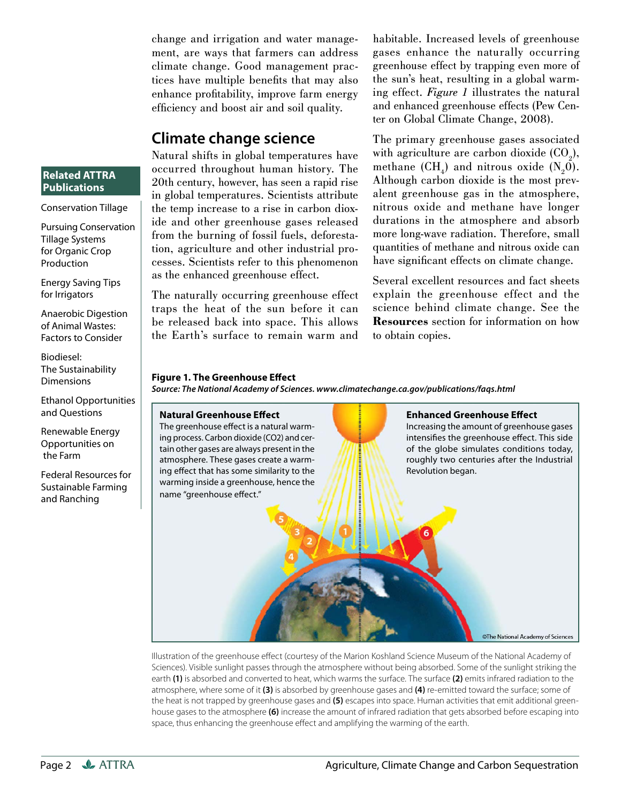change and irrigation and water management, are ways that farmers can address climate change. Good management practices have multiple benefits that may also enhance profitability, improve farm energy efficiency and boost air and soil quality.

#### **Climate change science**

Natural shifts in global temperatures have occurred throughout human history. The 20th century, however, has seen a rapid rise in global temperatures. Scientists attribute the temp increase to a rise in carbon dioxide and other greenhouse gases released from the burning of fossil fuels, deforestation, agriculture and other industrial processes. Scientists refer to this phenomenon as the enhanced greenhouse effect.

The naturally occurring greenhouse effect traps the heat of the sun before it can be released back into space. This allows the Earth's surface to remain warm and habitable. Increased levels of greenhouse gases enhance the naturally occurring greenhouse effect by trapping even more of the sun's heat, resulting in a global warming effect. *Figure 1* illustrates the natural and enhanced greenhouse effects (Pew Center on Global Climate Change, 2008).

The primary greenhouse gases associated with agriculture are carbon dioxide  $(CO<sub>2</sub>)$ , methane  $(CH_{4})$  and nitrous oxide  $(N_{2}0)$ . Although carbon dioxide is the most prevalent greenhouse gas in the atmosphere, nitrous oxide and methane have longer durations in the atmosphere and absorb more long-wave radiation. Therefore, small quantities of methane and nitrous oxide can have significant effects on climate change.

Several excellent resources and fact sheets explain the greenhouse effect and the science behind climate change. See the **Resources** section for information on how to obtain copies.

#### **Figure 1. The Greenhouse Effect**

*Source: The National Academy of Sciences.<www.climatechange.ca.gov/publications/faqs.html>*

#### **Natural Greenhouse Effect**



Illustration of the greenhouse effect (courtesy of the Marion Koshland Science Museum of the National Academy of Sciences). Visible sunlight passes through the atmosphere without being absorbed. Some of the sunlight striking the earth **(1)** is absorbed and converted to heat, which warms the surface. The surface **(2)** emits infrared radiation to the atmosphere, where some of it **(3)** is absorbed by greenhouse gases and **(4)** re-emitted toward the surface; some of the heat is not trapped by greenhouse gases and **(5)** escapes into space. Human activities that emit additional greenhouse gases to the atmosphere **(6)** increase the amount of infrared radiation that gets absorbed before escaping into space, thus enhancing the greenhouse effect and amplifying the warming of the earth.

#### **Related ATTRA Publications**

Conservation Tillage

Pursuing Conservation Tillage Systems for Organic Crop Production

Energy Saving Tips for Irrigators

Anaerobic Digestion of Animal Wastes: Factors to Consider

Biodiesel: The Sustainability **Dimensions** 

Ethanol Opportunities and Questions

Renewable Energy Opportunities on the Farm

Federal Resources for Sustainable Farming and Ranching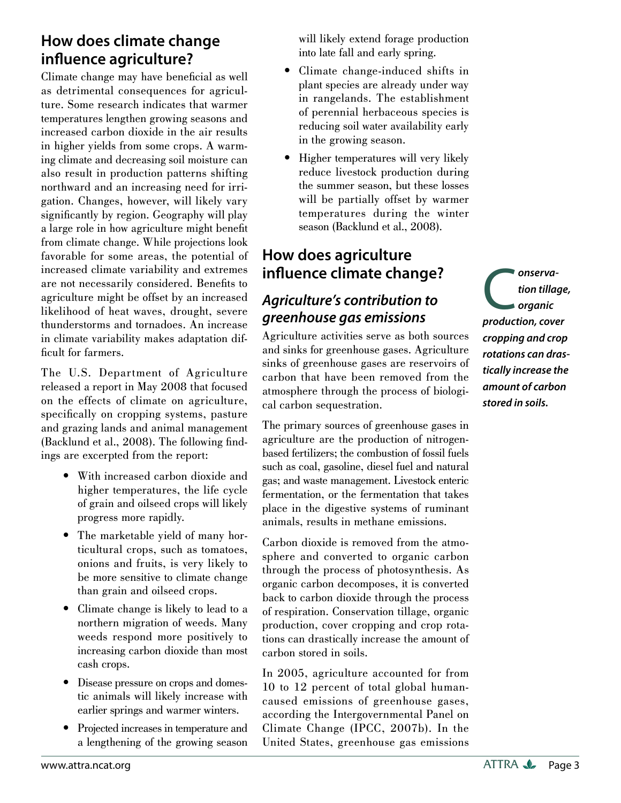# **How does climate change infl uence agriculture?**

Climate change may have beneficial as well as detrimental consequences for agriculture. Some research indicates that warmer temperatures lengthen growing seasons and increased carbon dioxide in the air results in higher yields from some crops. A warming climate and decreasing soil moisture can also result in production patterns shifting northward and an increasing need for irrigation. Changes, however, will likely vary significantly by region. Geography will play a large role in how agriculture might benefit from climate change. While projections look favorable for some areas, the potential of increased climate variability and extremes are not necessarily considered. Benefits to agriculture might be offset by an increased likelihood of heat waves, drought, severe thunderstorms and tornadoes. An increase in climate variability makes adaptation difficult for farmers.

The U.S. Department of Agriculture released a report in May 2008 that focused on the effects of climate on agriculture, specifically on cropping systems, pasture and grazing lands and animal management  $(Backlund et al., 2008)$ . The following findings are excerpted from the report:

- With increased carbon dioxide and higher temperatures, the life cycle of grain and oilseed crops will likely progress more rapidly.
- The marketable yield of many horticultural crops, such as tomatoes, onions and fruits, is very likely to be more sensitive to climate change than grain and oilseed crops.
- Climate change is likely to lead to a northern migration of weeds. Many weeds respond more positively to increasing carbon dioxide than most cash crops.
- Disease pressure on crops and domestic animals will likely increase with earlier springs and warmer winters.
- Projected increases in temperature and a lengthening of the growing season

will likely extend forage production into late fall and early spring.

- Climate change-induced shifts in plant species are already under way in rangelands. The establishment of perennial herbaceous species is reducing soil water availability early in the growing season.
- Higher temperatures will very likely reduce livestock production during the summer season, but these losses will be partially offset by warmer temperatures during the winter season (Backlund et al., 2008).

# **How does agriculture influence climate change?**

# *Agriculture's contribution to greenhouse gas emissions*

Agriculture activities serve as both sources and sinks for greenhouse gases. Agriculture sinks of greenhouse gases are reservoirs of carbon that have been removed from the atmosphere through the process of biological carbon sequestration.

The primary sources of greenhouse gases in agriculture are the production of nitrogenbased fertilizers; the combustion of fossil fuels such as coal, gasoline, diesel fuel and natural gas; and waste management. Livestock enteric fermentation, or the fermentation that takes place in the digestive systems of ruminant animals, results in methane emissions.

Carbon dioxide is removed from the atmosphere and converted to organic carbon through the process of photosynthesis. As organic carbon decomposes, it is converted back to carbon dioxide through the process of respiration. Conservation tillage, organic production, cover cropping and crop rotations can drastically increase the amount of carbon stored in soils.

In 2005, agriculture accounted for from 10 to 12 percent of total global humancaused emissions of greenhouse gases, according the Intergovernmental Panel on Climate Change (IPCC, 2007b). In the United States, greenhouse gas emissions

**c**onserva-<br> *production, cover*<br> *production, cover tion tillage, organic cropping and crop rotations can drastically increase the amount of carbon stored in soils.*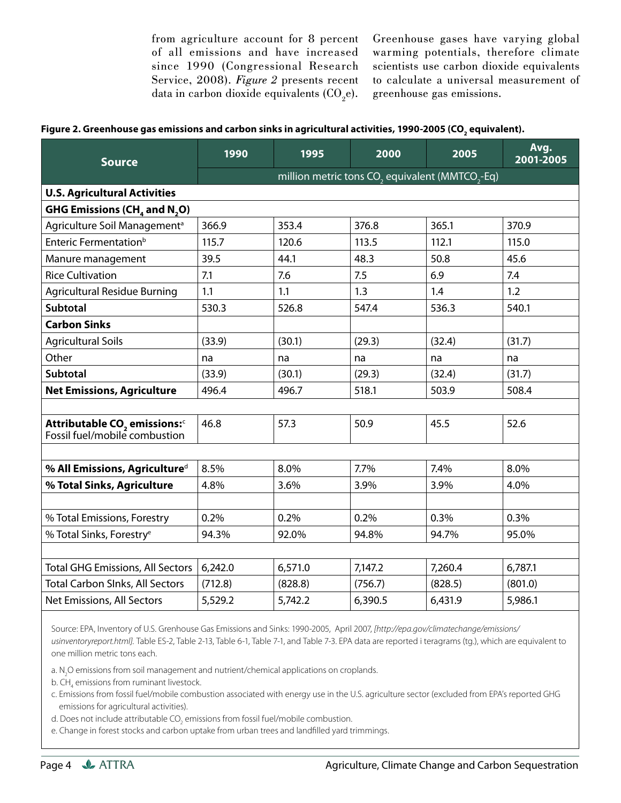from agriculture account for 8 percent of all emissions and have increased since 1990 (Congressional Research Service, 2008). *Figure 2* presents recent data in carbon dioxide equivalents  $(\text{CO}_2\text{e})$ . Greenhouse gases have varying global warming potentials, therefore climate scientists use carbon dioxide equivalents to calculate a universal measurement of greenhouse gas emissions.

|  |  |  | Figure 2. Greenhouse gas emissions and carbon sinks in agricultural activities, 1990-2005 (CO <sub>,</sub> equivalent). |
|--|--|--|-------------------------------------------------------------------------------------------------------------------------|
|--|--|--|-------------------------------------------------------------------------------------------------------------------------|

| <b>Source</b>                                                                               | 1990                                                                    | 1995    | 2000    | 2005    | Avg.<br>2001-2005 |  |  |  |  |
|---------------------------------------------------------------------------------------------|-------------------------------------------------------------------------|---------|---------|---------|-------------------|--|--|--|--|
|                                                                                             | million metric tons CO <sub>2</sub> equivalent (MMTCO <sub>2</sub> -Eq) |         |         |         |                   |  |  |  |  |
| <b>U.S. Agricultural Activities</b>                                                         |                                                                         |         |         |         |                   |  |  |  |  |
| GHG Emissions (CH <sub>4</sub> and N <sub>2</sub> O)                                        |                                                                         |         |         |         |                   |  |  |  |  |
| Agriculture Soil Management <sup>a</sup>                                                    | 366.9                                                                   | 353.4   | 376.8   | 365.1   | 370.9             |  |  |  |  |
| Enteric Fermentation <sup>b</sup>                                                           | 115.7                                                                   | 120.6   | 113.5   | 112.1   | 115.0             |  |  |  |  |
| Manure management                                                                           | 39.5                                                                    | 44.1    | 48.3    | 50.8    | 45.6              |  |  |  |  |
| <b>Rice Cultivation</b>                                                                     | 7.1                                                                     | 7.6     | 7.5     | 6.9     | 7.4               |  |  |  |  |
| <b>Agricultural Residue Burning</b>                                                         | 1.1                                                                     | 1.1     | 1.3     | 1.4     | 1.2               |  |  |  |  |
| <b>Subtotal</b>                                                                             | 530.3                                                                   | 526.8   | 547.4   | 536.3   | 540.1             |  |  |  |  |
| <b>Carbon Sinks</b>                                                                         |                                                                         |         |         |         |                   |  |  |  |  |
| <b>Agricultural Soils</b>                                                                   | (33.9)                                                                  | (30.1)  | (29.3)  | (32.4)  | (31.7)            |  |  |  |  |
| Other                                                                                       | na                                                                      | na      | na      | na      | na                |  |  |  |  |
| <b>Subtotal</b>                                                                             | (33.9)                                                                  | (30.1)  | (29.3)  | (32.4)  | (31.7)            |  |  |  |  |
| <b>Net Emissions, Agriculture</b>                                                           | 496.4                                                                   | 496.7   | 518.1   | 503.9   | 508.4             |  |  |  |  |
|                                                                                             |                                                                         |         |         |         |                   |  |  |  |  |
| <b>Attributable CO<sub>2</sub> emissions:</b> <sup>c</sup><br>Fossil fuel/mobile combustion | 46.8                                                                    | 57.3    | 50.9    | 45.5    | 52.6              |  |  |  |  |
|                                                                                             |                                                                         |         |         |         |                   |  |  |  |  |
| % All Emissions, Agriculture <sup>d</sup>                                                   | 8.5%                                                                    | 8.0%    | 7.7%    | 7.4%    | 8.0%              |  |  |  |  |
| % Total Sinks, Agriculture                                                                  | 4.8%                                                                    | 3.6%    | 3.9%    | 3.9%    | 4.0%              |  |  |  |  |
|                                                                                             |                                                                         |         |         |         |                   |  |  |  |  |
| % Total Emissions, Forestry                                                                 | 0.2%                                                                    | 0.2%    | 0.2%    | 0.3%    | 0.3%              |  |  |  |  |
| % Total Sinks, Forestry <sup>e</sup>                                                        | 94.3%                                                                   | 92.0%   | 94.8%   | 94.7%   | 95.0%             |  |  |  |  |
|                                                                                             |                                                                         |         |         |         |                   |  |  |  |  |
| Total GHG Emissions, All Sectors                                                            | 6,242.0                                                                 | 6,571.0 | 7,147.2 | 7,260.4 | 6,787.1           |  |  |  |  |
| <b>Total Carbon SInks, All Sectors</b>                                                      | (712.8)                                                                 | (828.8) | (756.7) | (828.5) | (801.0)           |  |  |  |  |
| Net Emissions, All Sectors                                                                  | 5,529.2                                                                 | 5,742.2 | 6,390.5 | 6,431.9 | 5,986.1           |  |  |  |  |

 Source: EPA, Inventory of U.S. Grenhouse Gas Emissions and Sinks: 1990-2005, April 2007, *[[http://epa.gov/climatechange/emissions/](http://epa.gov/climatechange/emissions/usinventoryreport.html) [usinventoryreport.html\].](http://epa.gov/climatechange/emissions/usinventoryreport.html)* Table ES-2, Table 2-13, Table 6-1, Table 7-1, and Table 7-3. EPA data are reported i teragrams (tg.), which are equivalent to one million metric tons each.

a.  $N_2$ O emissions from soil management and nutrient/chemical applications on croplands.

b.  $\textsf{CH}_4$  emissions from ruminant livestock.

- c. Emissions from fossil fuel/mobile combustion associated with energy use in the U.S. agriculture sector (excluded from EPA's reported GHG emissions for agricultural activities).
- d. Does not include attributable CO<sub>2</sub> emissions from fossil fuel/mobile combustion.
- e. Change in forest stocks and carbon uptake from urban trees and landfilled yard trimmings.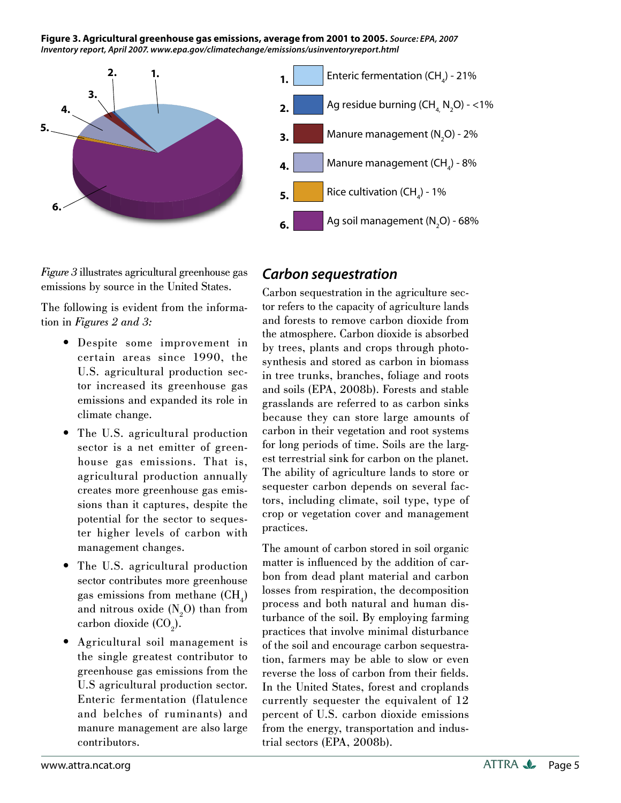**Figure 3. Agricultural greenhouse gas emissions, average from 2001 to 2005.** *Source: EPA, 2007 Inventory report, April 2007[. www.epa.gov/climatechange/emissions/usinventoryreport.html](www.epa.gov/climatechange/emissions/usinventoryreport.html)*



*Figure 3* illustrates agricultural greenhouse gas emissions by source in the United States.

The following is evident from the information in *Figures 2 and 3:*

- Despite some improvement in certain areas since 1990, the U.S. agricultural production sector increased its greenhouse gas emissions and expanded its role in climate change.
- The U.S. agricultural production sector is a net emitter of greenhouse gas emissions. That is, agricultural production annually creates more greenhouse gas emissions than it captures, despite the potential for the sector to sequester higher levels of carbon with management changes.
- The U.S. agricultural production sector contributes more greenhouse gas emissions from methane  $(CH<sub>4</sub>)$ and nitrous oxide  $(N_2O)$  than from carbon dioxide  $(CO<sub>2</sub>)$ .  $\bullet$
- Agricultural soil management is the single greatest contributor to greenhouse gas emissions from the U.S agricultural production sector. Enteric fermentation (flatulence and belches of ruminants) and manure management are also large contributors.

#### *Carbon sequestration*

Carbon sequestration in the agriculture sector refers to the capacity of agriculture lands and forests to remove carbon dioxide from the atmosphere. Carbon dioxide is absorbed by trees, plants and crops through photosynthesis and stored as carbon in biomass in tree trunks, branches, foliage and roots and soils (EPA, 2008b). Forests and stable grasslands are referred to as carbon sinks because they can store large amounts of carbon in their vegetation and root systems for long periods of time. Soils are the largest terrestrial sink for carbon on the planet. The ability of agriculture lands to store or sequester carbon depends on several factors, including climate, soil type, type of crop or vegetation cover and management practices.

The amount of carbon stored in soil organic matter is influenced by the addition of carbon from dead plant material and carbon losses from respiration, the decomposition process and both natural and human disturbance of the soil. By employing farming practices that involve minimal disturbance of the soil and encourage carbon sequestration, farmers may be able to slow or even reverse the loss of carbon from their fields. In the United States, forest and croplands currently sequester the equivalent of 12 percent of U.S. carbon dioxide emissions from the energy, transportation and industrial sectors (EPA, 2008b).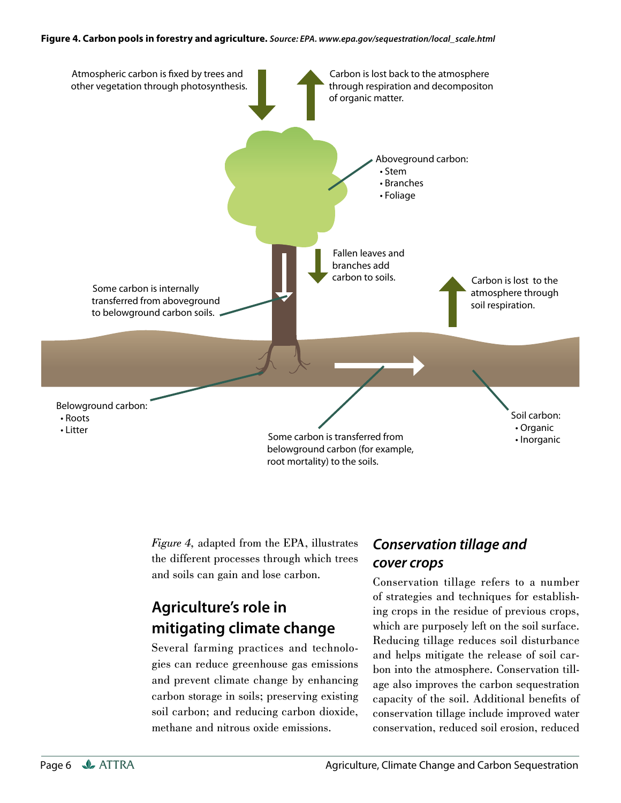#### **Figure 4. Carbon pools in forestry and agriculture.** *Source: EPA. [www.epa.gov/sequestration/local\\_scale.html](www.epa.gov/sequestration/local_scale.html)*



*Figure 4,* adapted from the EPA, illustrates the different processes through which trees and soils can gain and lose carbon.

# **Agriculture's role in mitigating climate change**

Several farming practices and technologies can reduce greenhouse gas emissions and prevent climate change by enhancing carbon storage in soils; preserving existing soil carbon; and reducing carbon dioxide, methane and nitrous oxide emissions.

## *Conservation tillage and cover crops*

Conservation tillage refers to a number of strategies and techniques for establishing crops in the residue of previous crops, which are purposely left on the soil surface. Reducing tillage reduces soil disturbance and helps mitigate the release of soil carbon into the atmosphere. Conservation tillage also improves the carbon sequestration capacity of the soil. Additional benefits of conservation tillage include improved water conservation, reduced soil erosion, reduced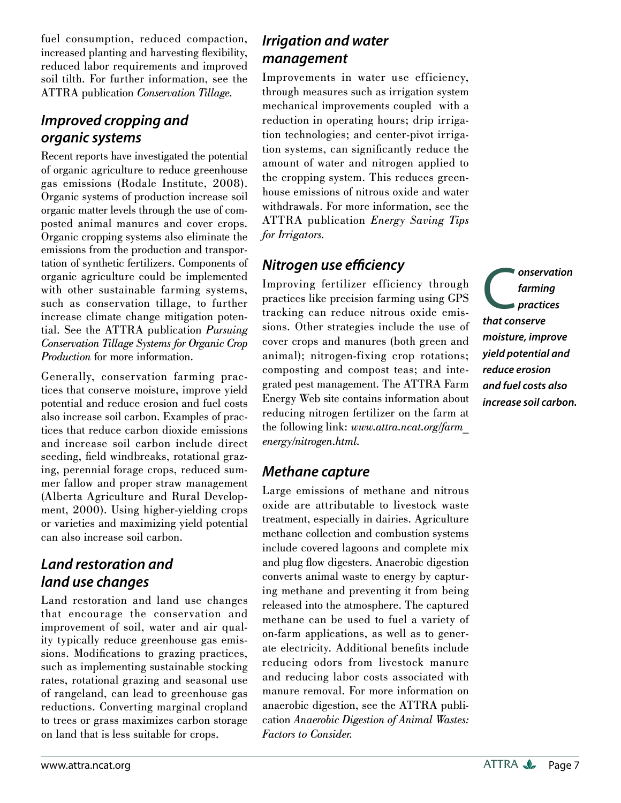fuel consumption, reduced compaction, increased planting and harvesting flexibility, reduced labor requirements and improved soil tilth. For further information, see the ATTRA publication *Conservation Tillage.* 

### *Improved cropping and organic systems*

Recent reports have investigated the potential of organic agriculture to reduce greenhouse gas emissions (Rodale Institute, 2008). Organic systems of production increase soil organic matter levels through the use of composted animal manures and cover crops. Organic cropping systems also eliminate the emissions from the production and transportation of synthetic fertilizers. Components of organic agriculture could be implemented with other sustainable farming systems, such as conservation tillage, to further increase climate change mitigation potential. See the ATTRA publication *Pursuing Conservation Tillage Systems for Organic Crop Production* for more information.

Generally, conservation farming practices that conserve moisture, improve yield potential and reduce erosion and fuel costs also increase soil carbon. Examples of practices that reduce carbon dioxide emissions and increase soil carbon include direct seeding, field windbreaks, rotational grazing, perennial forage crops, reduced summer fallow and proper straw management (Alberta Agriculture and Rural Development, 2000). Using higher-yielding crops or varieties and maximizing yield potential can also increase soil carbon.

## *Land restoration and land use changes*

Land restoration and land use changes that encourage the conservation and improvement of soil, water and air quality typically reduce greenhouse gas emissions. Modifications to grazing practices, such as implementing sustainable stocking rates, rotational grazing and seasonal use of rangeland, can lead to greenhouse gas reductions. Converting marginal cropland to trees or grass maximizes carbon storage on land that is less suitable for crops.

### *Irrigation and water management*

Improvements in water use efficiency, through measures such as irrigation system mechanical improvements coupled with a reduction in operating hours; drip irrigation technologies; and center-pivot irrigation systems, can significantly reduce the amount of water and nitrogen applied to the cropping system. This reduces greenhouse emissions of nitrous oxide and water withdrawals. For more information, see the ATTRA publication *Energy Saving Tips for Irrigators.*

#### **Nitrogen use efficiency**

Improving fertilizer efficiency through practices like precision farming using GPS tracking can reduce nitrous oxide emissions. Other strategies include the use of cover crops and manures (both green and animal); nitrogen-fixing crop rotations; composting and compost teas; and integrated pest management. The ATTRA Farm Energy Web site contains information about reducing nitrogen fertilizer on the farm at the following link: *[www.attra.ncat.org/farm](http://www.attra.ncat.org/farm_energy/nitrogen.html)[\\_](www.attra.ncat.org/farm_energy/nitrogen.html.) [energy/nitrogen.html.](http://www.attra.ncat.org/farm_energy/nitrogen.html)*

#### *Methane capture*

Large emissions of methane and nitrous oxide are attributable to livestock waste treatment, especially in dairies. Agriculture methane collection and combustion systems include covered lagoons and complete mix and plug flow digesters. Anaerobic digestion converts animal waste to energy by capturing methane and preventing it from being released into the atmosphere. The captured methane can be used to fuel a variety of on-farm applications, as well as to generate electricity. Additional benefits include reducing odors from livestock manure and reducing labor costs associated with manure removal. For more information on anaerobic digestion, see the ATTRA publication *Anaerobic Digestion of Animal Wastes: Factors to Consider.*

**C**onservation<br> **C**onserve<br> **C**onserve *farming practices that conserve moisture, improve yield potential and reduce erosion and fuel costs also increase soil carbon.*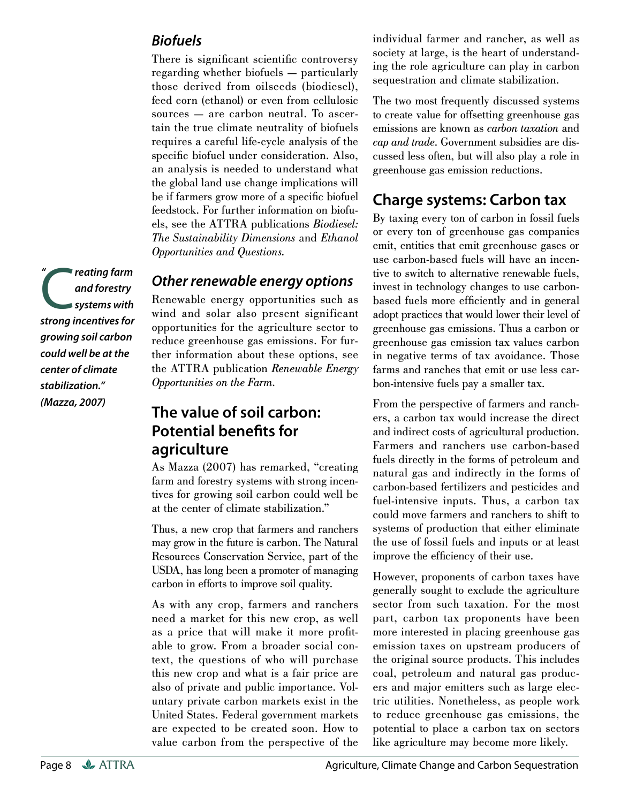#### *Biofuels*

There is significant scientific controversy regarding whether biofuels — particularly those derived from oilseeds (biodiesel), feed corn (ethanol) or even from cellulosic sources — are carbon neutral. To ascertain the true climate neutrality of biofuels requires a careful life-cycle analysis of the specific biofuel under consideration. Also, an analysis is needed to understand what the global land use change implications will be if farmers grow more of a specific biofuel feedstock. For further information on biofuels, see the ATTRA publications *Biodiesel: The Sustainability Dimensions* and *Ethanol Opportunities and Questions.*

#### *Other renewable energy options*

Renewable energy opportunities such as wind and solar also present significant opportunities for the agriculture sector to reduce greenhouse gas emissions. For further information about these options, see the ATTRA publication *Renewable Energy Opportunities on the Farm.*

## **The value of soil carbon: Potential benefits for agriculture**

As Mazza (2007) has remarked, "creating farm and forestry systems with strong incentives for growing soil carbon could well be at the center of climate stabilization."

Thus, a new crop that farmers and ranchers may grow in the future is carbon. The Natural Resources Conservation Service, part of the USDA, has long been a promoter of managing carbon in efforts to improve soil quality.

As with any crop, farmers and ranchers need a market for this new crop, as well as a price that will make it more profitable to grow. From a broader social context, the questions of who will purchase this new crop and what is a fair price are also of private and public importance. Voluntary private carbon markets exist in the United States. Federal government markets are expected to be created soon. How to value carbon from the perspective of the

individual farmer and rancher, as well as society at large, is the heart of understanding the role agriculture can play in carbon sequestration and climate stabilization.

The two most frequently discussed systems to create value for offsetting greenhouse gas emissions are known as *carbon taxation* and *cap and trade*. Government subsidies are discussed less often, but will also play a role in greenhouse gas emission reductions.

# **Charge systems: Carbon tax**

By taxing every ton of carbon in fossil fuels or every ton of greenhouse gas companies emit, entities that emit greenhouse gases or use carbon-based fuels will have an incentive to switch to alternative renewable fuels, invest in technology changes to use carbonbased fuels more efficiently and in general adopt practices that would lower their level of greenhouse gas emissions. Thus a carbon or greenhouse gas emission tax values carbon in negative terms of tax avoidance. Those farms and ranches that emit or use less carbon-intensive fuels pay a smaller tax.

From the perspective of farmers and ranchers, a carbon tax would increase the direct and indirect costs of agricultural production. Farmers and ranchers use carbon-based fuels directly in the forms of petroleum and natural gas and indirectly in the forms of carbon-based fertilizers and pesticides and fuel-intensive inputs. Thus, a carbon tax could move farmers and ranchers to shift to systems of production that either eliminate the use of fossil fuels and inputs or at least improve the efficiency of their use.

However, proponents of carbon taxes have generally sought to exclude the agriculture sector from such taxation. For the most part, carbon tax proponents have been more interested in placing greenhouse gas emission taxes on upstream producers of the original source products. This includes coal, petroleum and natural gas producers and major emitters such as large electric utilities. Nonetheless, as people work to reduce greenhouse gas emissions, the potential to place a carbon tax on sectors like agriculture may become more likely.

C*reating farm strong incentives for and forestry systems with growing soil carbon could well be at the center of climate stabilization." (Mazza, 2007) "*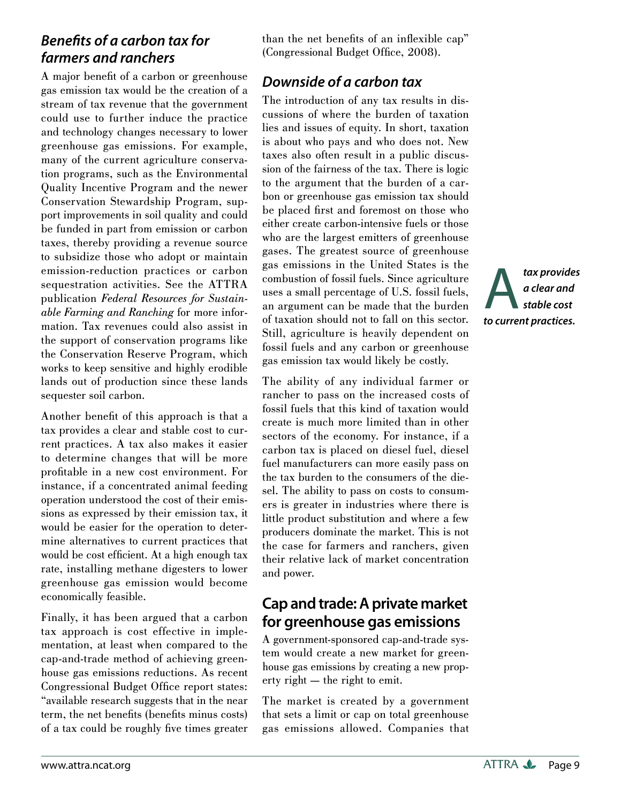## **Benefits of a carbon tax for** *farmers and ranchers*

A major benefit of a carbon or greenhouse gas emission tax would be the creation of a stream of tax revenue that the government could use to further induce the practice and technology changes necessary to lower greenhouse gas emissions. For example, many of the current agriculture conservation programs, such as the Environmental Quality Incentive Program and the newer Conservation Stewardship Program, support improvements in soil quality and could be funded in part from emission or carbon taxes, thereby providing a revenue source to subsidize those who adopt or maintain emission-reduction practices or carbon sequestration activities. See the ATTRA publication *Federal Resources for Sustainable Farming and Ranching* for more information. Tax revenues could also assist in the support of conservation programs like the Conservation Reserve Program, which works to keep sensitive and highly erodible lands out of production since these lands sequester soil carbon.

Another benefit of this approach is that a tax provides a clear and stable cost to current practices. A tax also makes it easier to determine changes that will be more profitable in a new cost environment. For instance, if a concentrated animal feeding operation understood the cost of their emissions as expressed by their emission tax, it would be easier for the operation to determine alternatives to current practices that would be cost efficient. At a high enough tax rate, installing methane digesters to lower greenhouse gas emission would become economically feasible.

Finally, it has been argued that a carbon tax approach is cost effective in implementation, at least when compared to the cap-and-trade method of achieving greenhouse gas emissions reductions. As recent Congressional Budget Office report states: "available research suggests that in the near term, the net benefits (benefits minus costs) of a tax could be roughly five times greater than the net benefits of an inflexible cap" (Congressional Budget Office, 2008).

# *Downside of a carbon tax*

The introduction of any tax results in discussions of where the burden of taxation lies and issues of equity. In short, taxation is about who pays and who does not. New taxes also often result in a public discussion of the fairness of the tax. There is logic to the argument that the burden of a carbon or greenhouse gas emission tax should be placed first and foremost on those who either create carbon-intensive fuels or those who are the largest emitters of greenhouse gases. The greatest source of greenhouse gas emissions in the United States is the combustion of fossil fuels. Since agriculture uses a small percentage of U.S. fossil fuels, an argument can be made that the burden of taxation should not to fall on this sector. Still, agriculture is heavily dependent on fossil fuels and any carbon or greenhouse gas emission tax would likely be costly.

The ability of any individual farmer or rancher to pass on the increased costs of fossil fuels that this kind of taxation would create is much more limited than in other sectors of the economy. For instance, if a carbon tax is placed on diesel fuel, diesel fuel manufacturers can more easily pass on the tax burden to the consumers of the diesel. The ability to pass on costs to consumers is greater in industries where there is little product substitution and where a few producers dominate the market. This is not the case for farmers and ranchers, given their relative lack of market concentration and power.

# **Cap and trade: A private market for greenhouse gas emissions**

A government-sponsored cap-and-trade system would create a new market for greenhouse gas emissions by creating a new property right — the right to emit.

The market is created by a government that sets a limit or cap on total greenhouse gas emissions allowed. Companies that A*tax provides to current practices.a clear and stable cost*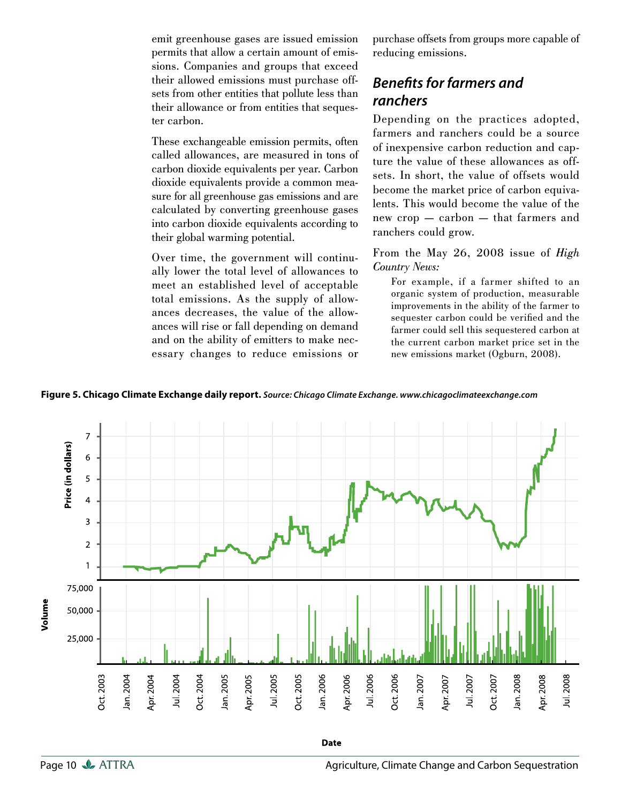emit greenhouse gases are issued emission permits that allow a certain amount of emissions. Companies and groups that exceed their allowed emissions must purchase offsets from other entities that pollute less than their allowance or from entities that sequester carbon.

These exchangeable emission permits, often called allowances, are measured in tons of carbon dioxide equivalents per year. Carbon dioxide equivalents provide a common measure for all greenhouse gas emissions and are calculated by converting greenhouse gases into carbon dioxide equivalents according to their global warming potential.

Over time, the government will continually lower the total level of allowances to meet an established level of acceptable total emissions. As the supply of allowances decreases, the value of the allowances will rise or fall depending on demand and on the ability of emitters to make necessary changes to reduce emissions or purchase offsets from groups more capable of reducing emissions.

### **Benefits for farmers and** *ranchers*

Depending on the practices adopted, farmers and ranchers could be a source of inexpensive carbon reduction and capture the value of these allowances as offsets. In short, the value of offsets would become the market price of carbon equivalents. This would become the value of the new crop — carbon — that farmers and ranchers could grow.

From the May 26, 2008 issue of *High Country News:*

For example, if a farmer shifted to an organic system of production, measurable improvements in the ability of the farmer to sequester carbon could be verified and the farmer could sell this sequestered carbon at the current carbon market price set in the new emissions market (Ogburn, 2008).

**Figure 5. Chicago Climate Exchange daily report.** *Source: Chicago Climate Exchange.<www.chicagoclimateexchange.com>*

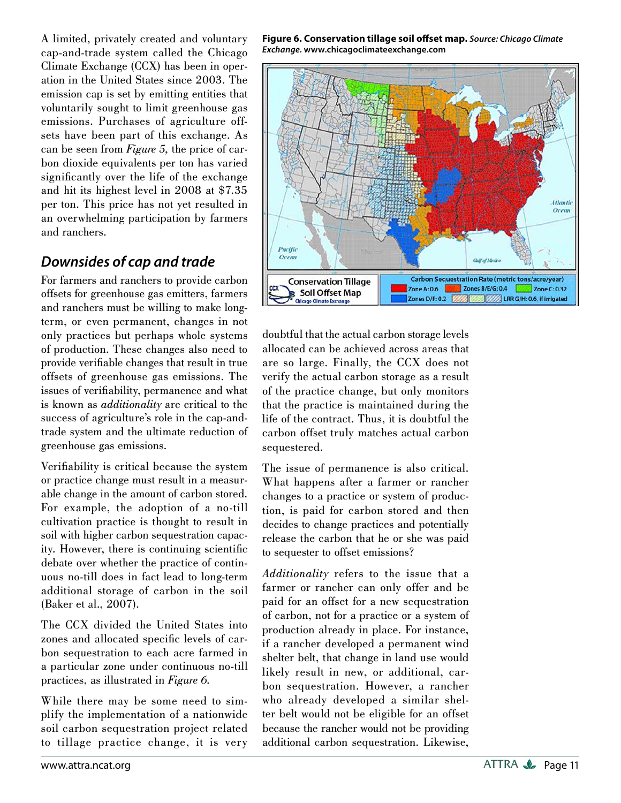A limited, privately created and voluntary cap-and-trade system called the Chicago Climate Exchange (CCX) has been in operation in the United States since 2003. The emission cap is set by emitting entities that voluntarily sought to limit greenhouse gas emissions. Purchases of agriculture offsets have been part of this exchange. As can be seen from *Figure 5,* the price of carbon dioxide equivalents per ton has varied significantly over the life of the exchange and hit its highest level in 2008 at \$7.35 per ton. This price has not yet resulted in an overwhelming participation by farmers and ranchers.

## *Downsides of cap and trade*

For farmers and ranchers to provide carbon offsets for greenhouse gas emitters, farmers and ranchers must be willing to make longterm, or even permanent, changes in not only practices but perhaps whole systems of production. These changes also need to provide verifiable changes that result in true offsets of greenhouse gas emissions. The issues of verifiability, permanence and what is known as *additionality* are critical to the success of agriculture's role in the cap-andtrade system and the ultimate reduction of greenhouse gas emissions.

Verifiability is critical because the system or practice change must result in a measurable change in the amount of carbon stored. For example, the adoption of a no-till cultivation practice is thought to result in soil with higher carbon sequestration capacity. However, there is continuing scientific debate over whether the practice of continuous no-till does in fact lead to long-term additional storage of carbon in the soil (Baker et al., 2007).

The CCX divided the United States into zones and allocated specific levels of carbon sequestration to each acre farmed in a particular zone under continuous no-till practices, as illustrated in *Figure 6.*

While there may be some need to simplify the implementation of a nationwide soil carbon sequestration project related to tillage practice change, it is very **Figure 6. Conservation tillage soil off set map.** *Source: Chicago Climate Exchange.* **<www.chicagoclimateexchange.com>**



doubtful that the actual carbon storage levels allocated can be achieved across areas that are so large. Finally, the CCX does not verify the actual carbon storage as a result of the practice change, but only monitors that the practice is maintained during the life of the contract. Thus, it is doubtful the carbon offset truly matches actual carbon sequestered.

The issue of permanence is also critical. What happens after a farmer or rancher changes to a practice or system of production, is paid for carbon stored and then decides to change practices and potentially release the carbon that he or she was paid to sequester to offset emissions?

*Additionality* refers to the issue that a farmer or rancher can only offer and be paid for an offset for a new sequestration of carbon, not for a practice or a system of production already in place. For instance, if a rancher developed a permanent wind shelter belt, that change in land use would likely result in new, or additional, carbon sequestration. However, a rancher who already developed a similar shelter belt would not be eligible for an offset because the rancher would not be providing additional carbon sequestration. Likewise,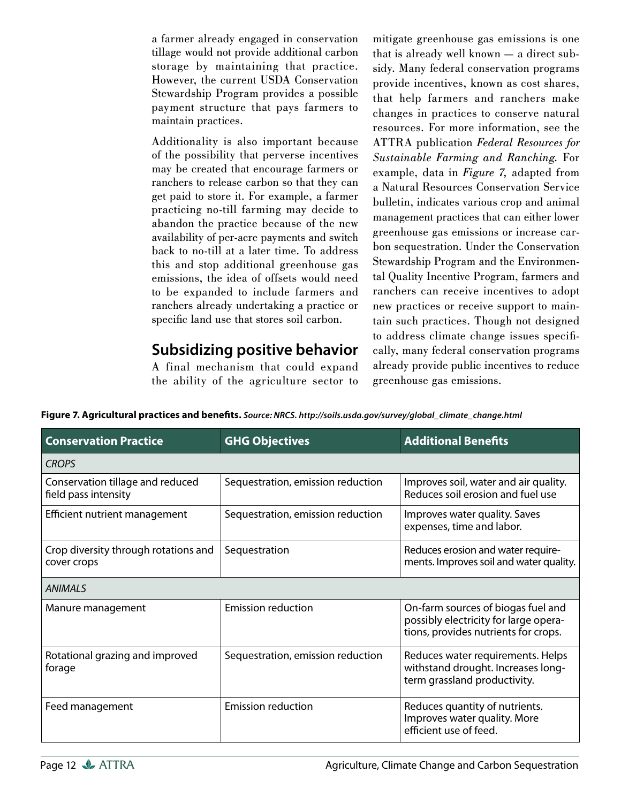a farmer already engaged in conservation tillage would not provide additional carbon storage by maintaining that practice. However, the current USDA Conservation Stewardship Program provides a possible payment structure that pays farmers to maintain practices.

Additionality is also important because of the possibility that perverse incentives may be created that encourage farmers or ranchers to release carbon so that they can get paid to store it. For example, a farmer practicing no-till farming may decide to abandon the practice because of the new availability of per-acre payments and switch back to no-till at a later time. To address this and stop additional greenhouse gas emissions, the idea of offsets would need to be expanded to include farmers and ranchers already undertaking a practice or specific land use that stores soil carbon.

## **Subsidizing positive behavior**

A final mechanism that could expand the ability of the agriculture sector to mitigate greenhouse gas emissions is one that is already well known — a direct subsidy. Many federal conservation programs provide incentives, known as cost shares, that help farmers and ranchers make changes in practices to conserve natural resources. For more information, see the ATTRA publication *Federal Resources for Sustainable Farming and Ranching.* For example, data in *Figure 7,* adapted from a Natural Resources Conservation Service bulletin, indicates various crop and animal management practices that can either lower greenhouse gas emissions or increase carbon sequestration. Under the Conservation Stewardship Program and the Environmental Quality Incentive Program, farmers and ranchers can receive incentives to adopt new practices or receive support to maintain such practices. Though not designed to address climate change issues specifically, many federal conservation programs already provide public incentives to reduce greenhouse gas emissions.

**Conservation Practice Conservation Practice Conservation Practice Conservation Conservation Additional Benefits** *CROPS* Conservation tillage and reduced field pass intensity Sequestration, emission reduction  $\vert$  Improves soil, water and air quality. Reduces soil erosion and fuel use Efficient nutrient management  $\vert$  Sequestration, emission reduction  $\vert$  Improves water quality. Saves expenses, time and labor. Crop diversity through rotations and cover crops Sequestration Reduces erosion and water requirements. Improves soil and water quality. *ANIMALS* Manure management **Emission reduction** and  $\Box$  On-farm sources of biogas fuel and possibly electricity for large operations, provides nutrients for crops. Rotational grazing and improved forage Sequestration, emission reduction  $\Box$  Reduces water requirements. Helps withstand drought. Increases longterm grassland productivity. Feed management **Emission reduction** Reduces quantity of nutrients. Improves water quality. More efficient use of feed.

Figure 7. Agricultural practices and benefits. Source: NRCS. [http://soils.usda.gov/survey/global\\_climate\\_change.html](http://soils.usda.gov/survey/global_climate_change.html)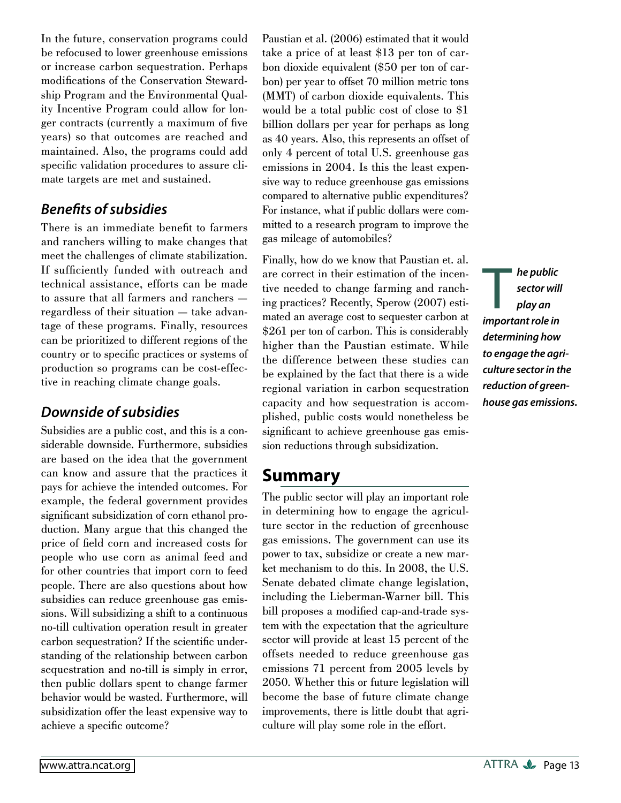In the future, conservation programs could be refocused to lower greenhouse emissions or increase carbon sequestration. Perhaps modifications of the Conservation Stewardship Program and the Environmental Quality Incentive Program could allow for longer contracts (currently a maximum of five years) so that outcomes are reached and maintained. Also, the programs could add specific validation procedures to assure climate targets are met and sustained.

#### **Benefits of subsidies**

There is an immediate benefit to farmers and ranchers willing to make changes that meet the challenges of climate stabilization. If sufficiently funded with outreach and technical assistance, efforts can be made to assure that all farmers and ranchers regardless of their situation — take advantage of these programs. Finally, resources can be prioritized to different regions of the country or to specific practices or systems of production so programs can be cost-effective in reaching climate change goals.

## *Downside of subsidies*

Subsidies are a public cost, and this is a considerable downside. Furthermore, subsidies are based on the idea that the government can know and assure that the practices it pays for achieve the intended outcomes. For example, the federal government provides significant subsidization of corn ethanol production. Many argue that this changed the price of field corn and increased costs for people who use corn as animal feed and for other countries that import corn to feed people. There are also questions about how subsidies can reduce greenhouse gas emissions. Will subsidizing a shift to a continuous no-till cultivation operation result in greater carbon sequestration? If the scientific understanding of the relationship between carbon sequestration and no-till is simply in error, then public dollars spent to change farmer behavior would be wasted. Furthermore, will subsidization offer the least expensive way to achieve a specific outcome?

Paustian et al. (2006) estimated that it would take a price of at least \$13 per ton of carbon dioxide equivalent (\$50 per ton of carbon) per year to offset 70 million metric tons (MMT) of carbon dioxide equivalents. This would be a total public cost of close to \$1 billion dollars per year for perhaps as long as 40 years. Also, this represents an offset of only 4 percent of total U.S. greenhouse gas emissions in 2004. Is this the least expensive way to reduce greenhouse gas emissions compared to alternative public expenditures? For instance, what if public dollars were committed to a research program to improve the gas mileage of automobiles?

Finally, how do we know that Paustian et. al. are correct in their estimation of the incentive needed to change farming and ranching practices? Recently, Sperow (2007) estimated an average cost to sequester carbon at \$261 per ton of carbon. This is considerably higher than the Paustian estimate. While the difference between these studies can be explained by the fact that there is a wide regional variation in carbon sequestration capacity and how sequestration is accomplished, public costs would nonetheless be significant to achieve greenhouse gas emission reductions through subsidization.

# **Summary**

The public sector will play an important role in determining how to engage the agriculture sector in the reduction of greenhouse gas emissions. The government can use its power to tax, subsidize or create a new market mechanism to do this. In 2008, the U.S. Senate debated climate change legislation, including the Lieberman-Warner bill. This bill proposes a modified cap-and-trade system with the expectation that the agriculture sector will provide at least 15 percent of the offsets needed to reduce greenhouse gas emissions 71 percent from 2005 levels by 2050. Whether this or future legislation will become the base of future climate change improvements, there is little doubt that agriculture will play some role in the effort.

**The public<br>
sector will<br>
play an<br>
important role in** *sector will play an determining how to engage the agriculture sector in the reduction of greenhouse gas emissions.*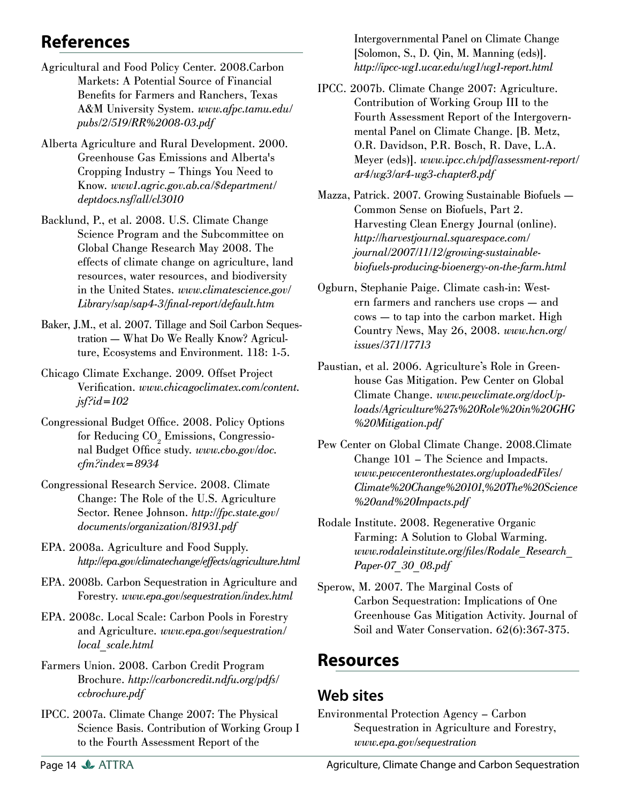# **References**

- Agricultural and Food Policy Center. 2008.Carbon Markets: A Potential Source of Financial Benefits for Farmers and Ranchers, Texas A&M University System. *[www.afpc.tamu.edu/](www.afpc.tamu.edu/pubs/2/519/RR%2008-03.pdf) [pubs/2/519/RR%2008-03.pdf](www.afpc.tamu.edu/pubs/2/519/RR%2008-03.pdf)*
- Alberta Agriculture and Rural Development. 2000. Greenhouse Gas Emissions and Alberta's Cropping Industry – Things You Need to Know. *[www1.agric.gov.ab.ca/\\$department/](www1.agric.gov.ab.ca/$department/deptdocs.nsf/all/cl3010) [deptdocs.nsf/all/cl3010](www1.agric.gov.ab.ca/$department/deptdocs.nsf/all/cl3010)*
- Backlund, P., et al. 2008. U.S. Climate Change Science Program and the Subcommittee on Global Change Research May 2008. The effects of climate change on agriculture, land resources, water resources, and biodiversity in the United States. *[www.climatescience.gov/](www.climatescience.gov/Library/sap/sap4-3/final-report/default.htm) [Library/sap/sap4-3/fi nal-report/default.htm](www.climatescience.gov/Library/sap/sap4-3/final-report/default.htm)*
- Baker, J.M., et al. 2007. Tillage and Soil Carbon Sequestration — What Do We Really Know? Agriculture, Ecosystems and Environment. 118: 1-5.
- Chicago Climate Exchange. 2009. Offset Project Verification. *[www.chicagoclimatex.com/content.](www.chicagoclimatex.com/content.jsf?id=102) [jsf?id=102](www.chicagoclimatex.com/content.jsf?id=102)*
- Congressional Budget Office. 2008. Policy Options for Reducing  $\mathrm{CO}_2$  Emissions, Congressional Budget Office study. *[www.cbo.gov/doc.](www.cbo.gov/doc.cfm?index=8934) [cfm?index=8934](www.cbo.gov/doc.cfm?index=8934)*
- Congressional Research Service. 2008. Climate Change: The Role of the U.S. Agriculture Sector. Renee Johnson. *[http://fpc.state.gov/](http://fpc.state.gov/documents/organization/81931.pdf) [documents/organization/81931.pdf](http://fpc.state.gov/documents/organization/81931.pdf)*
- EPA. 2008a. Agriculture and Food Supply. *<http://epa.gov/climatechange/effects/agriculture.html>*
- EPA. 2008b. Carbon Sequestration in Agriculture and Forestry. *<www.epa.gov/sequestration/index.html>*
- EPA. 2008c. Local Scale: Carbon Pools in Forestry and Agriculture. *[www.epa.gov/sequestration/](www.epa.gov/sequestration/local_scale.html) [local\\_scale.html](www.epa.gov/sequestration/local_scale.html)*
- Farmers Union. 2008. Carbon Credit Program Brochure. *[http://carboncredit.ndfu.org/pdfs/](http://carboncredit.ndfu.org/pdfs/ccbrochure.pdf) [ccbrochure.pdf](http://carboncredit.ndfu.org/pdfs/ccbrochure.pdf)*
- IPCC. 2007a. Climate Change 2007: The Physical Science Basis. Contribution of Working Group I to the Fourth Assessment Report of the

Intergovernmental Panel on Climate Change [Solomon, S., D. Qin, M. Manning (eds)]. *<http://ipcc-wg1.ucar.edu/wg1/wg1-report.html>*

- IPCC. 2007b. Climate Change 2007: Agriculture. Contribution of Working Group III to the Fourth Assessment Report of the Intergovernmental Panel on Climate Change. [B. Metz, O.R. Davidson, P.R. Bosch, R. Dave, L.A. Meyer (eds)]. *[www.ipcc.ch/pdf/assessment-report/](www.ipcc.ch/pdf/assessment-report/ar4/wg3/ar4-wg3-chapter8.pdf) [ar4/wg3/ar4-wg3-chapter8.pdf](www.ipcc.ch/pdf/assessment-report/ar4/wg3/ar4-wg3-chapter8.pdf)*
- Mazza, Patrick. 2007. Growing Sustainable Biofuels Common Sense on Biofuels, Part 2. Harvesting Clean Energy Journal (online). *http://harvestjournal.squarespace.com/ journal/2007/11/12/growing-sustainable[biofuels-producing-bioenergy-on-the-farm.html](http://harvestjournal.squarespace.com/journal/2007/11/12/growing-sustainable-biofuels-producing-bioenergy-on-the-farm.html)*
- Ogburn, Stephanie Paige. Climate cash-in: Western farmers and ranchers use crops — and cows — to tap into the carbon market. High Country News, May 26, 2008. *[www.hcn.org/](www.hcn.org/issues/371/17713) [issues/371/17713](www.hcn.org/issues/371/17713)*
- Paustian, et al. 2006. Agriculture's Role in Greenhouse Gas Mitigation. Pew Center on Global Climate Change. *[www.pewclimate.org/docUp](www.pewclimate.org/docUploads/Agriculture%27s%20Role%20in%20GHG%20Mitigation.pdf)[loads/Agriculture%27s%20Role%20in%20GHG](www.pewclimate.org/docUploads/Agriculture%27s%20Role%20in%20GHG%20Mitigation.pdf) [%20Mitigation.pdf](www.pewclimate.org/docUploads/Agriculture%27s%20Role%20in%20GHG%20Mitigation.pdf)*
- Pew Center on Global Climate Change. 2008.Climate Change 101 – The Science and Impacts. *www.pewcenteronthestates.org/uploadedFiles/ [Climate%20Change%20101,%20The%20Science](http://www.pewcenteronthestates.org/report_detail.aspx?id=32916) [%20and%20Impacts.pdf](http://www.pewcenteronthestates.org/report_detail.aspx?id=32916)*
- Rodale Institute. 2008. Regenerative Organic Farming: A Solution to Global Warming. *[www.rodaleinstitute.org/fi les/Rodale\\_Research\\_](www.rodaleinstitute.org/files/Rodale_Research_Paper-07_30_08.pdf) [Paper-07\\_30\\_08.pdf](www.rodaleinstitute.org/files/Rodale_Research_Paper-07_30_08.pdf)*
- Sperow, M. 2007. The Marginal Costs of Carbon Sequestration: Implications of One Greenhouse Gas Mitigation Activity. Journal of Soil and Water Conservation. 62(6):367-375.

# **Resources**

## **Web sites**

Environmental Protection Agency – Carbon Sequestration in Agriculture and Forestry, *<www.epa.gov/sequestration>*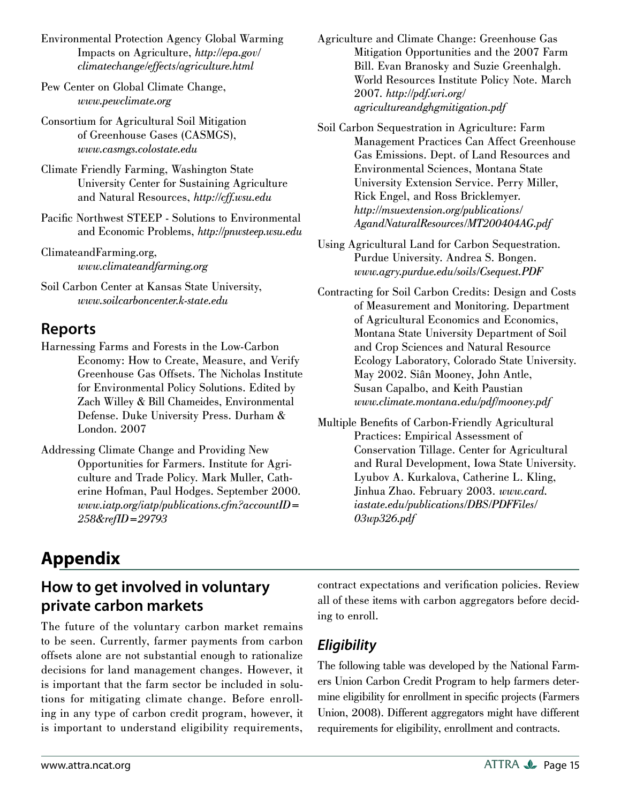- Environmental Protection Agency Global Warming Impacts on Agriculture, *[http://epa.gov/](http://epa.gov/climatechange/effects/agriculture.html) [climatechange/effects/agriculture.html](http://epa.gov/climatechange/effects/agriculture.html)*
- Pew Center on Global Climate Change, *<www.pewclimate.org>*
- Consortium for Agricultural Soil Mitigation of Greenhouse Gases (CASMGS), *<www.casmgs.colostate.edu>*
- Climate Friendly Farming, Washington State University Center for Sustaining Agriculture and Natural Resources, *<http://cff.wsu.edu>*
- Pacific Northwest STEEP Solutions to Environmental and Economic Problems, *<http://pnwsteep.wsu.edu>*
- ClimateandFarming.org, *<www.climateandfarming.org>*
- Soil Carbon Center at Kansas State University, *<www.soilcarboncenter.k-state.edu>*

#### **Reports**

- Harnessing Farms and Forests in the Low-Carbon Economy: How to Create, Measure, and Verify Greenhouse Gas Offsets. The Nicholas Institute for Environmental Policy Solutions. Edited by Zach Willey & Bill Chameides, Environmental Defense. Duke University Press. Durham & London. 2007
- Addressing Climate Change and Providing New Opportunities for Farmers. Institute for Agriculture and Trade Policy. Mark Muller, Catherine Hofman, Paul Hodges. September 2000. *[www.iatp.org/iatp/publications.cfm?accountID=](www.iatp.org/iatp/publications.cfm?accountID=258&refID=29793) [258&refID=29793](www.iatp.org/iatp/publications.cfm?accountID=258&refID=29793)*
- Agriculture and Climate Change: Greenhouse Gas Mitigation Opportunities and the 2007 Farm Bill. Evan Branosky and Suzie Greenhalgh. World Resources Institute Policy Note. March 2007. *[http://pdf.wri.org/](http://pdf.wri.org/agricultureandghgmitigation.pdf) [agricultureandghgmitigation.pdf](http://pdf.wri.org/agricultureandghgmitigation.pdf)*
- Soil Carbon Sequestration in Agriculture: Farm Management Practices Can Affect Greenhouse Gas Emissions. Dept. of Land Resources and Environmental Sciences, Montana State University Extension Service. Perry Miller, Rick Engel, and Ross Bricklemyer. *[http://msuextension.org/publications/](http://msuextension.org/publications/AgandNaturalResources/MT200404AG.pdf) [AgandNaturalResources/MT200404AG.pdf](http://msuextension.org/publications/AgandNaturalResources/MT200404AG.pdf)*
- Using Agricultural Land for Carbon Sequestration. Purdue University. Andrea S. Bongen. *<www.agry.purdue.edu/soils/Csequest.PDF>*
- Contracting for Soil Carbon Credits: Design and Costs of Measurement and Monitoring. Department of Agricultural Economics and Economics, Montana State University Department of Soil and Crop Sciences and Natural Resource Ecology Laboratory, Colorado State University. May 2002. Siân Mooney, John Antle, Susan Capalbo, and Keith Paustian *<www.climate.montana.edu/pdf/mooney.pdf>*
- Multiple Benefits of Carbon-Friendly Agricultural Practices: Empirical Assessment of Conservation Tillage. Center for Agricultural and Rural Development, Iowa State University. Lyubov A. Kurkalova, Catherine L. Kling, Jinhua Zhao. February 2003. *[www.card.](www.card.iastate.edu/publications/DBS/PDFFiles/03wp326.pdf) [iastate.edu/publications/DBS/PDFFiles/](www.card.iastate.edu/publications/DBS/PDFFiles/03wp326.pdf) [03wp326.pdf](www.card.iastate.edu/publications/DBS/PDFFiles/03wp326.pdf)*

# **Appendix**

# **How to get involved in voluntary private carbon markets**

The future of the voluntary carbon market remains to be seen. Currently, farmer payments from carbon offsets alone are not substantial enough to rationalize decisions for land management changes. However, it is important that the farm sector be included in solutions for mitigating climate change. Before enrolling in any type of carbon credit program, however, it is important to understand eligibility requirements, contract expectations and verification policies. Review all of these items with carbon aggregators before deciding to enroll.

# *Eligibility*

The following table was developed by the National Farmers Union Carbon Credit Program to help farmers determine eligibility for enrollment in specific projects (Farmers Union, 2008). Different aggregators might have different requirements for eligibility, enrollment and contracts.